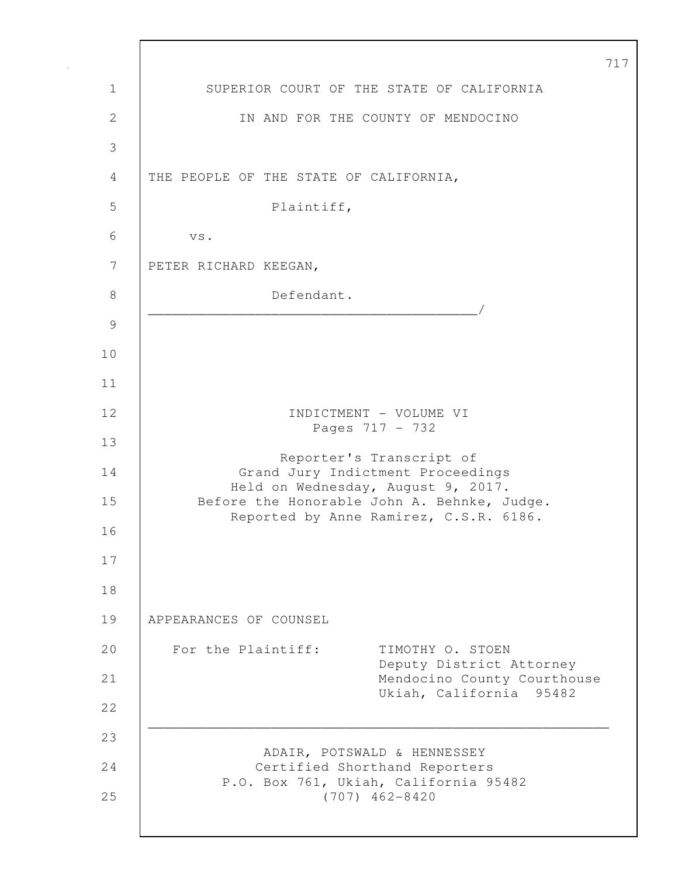| $\overline{7}$                                                                    |  |
|-----------------------------------------------------------------------------------|--|
| SUPERIOR COURT OF THE STATE OF CALIFORNIA                                         |  |
| IN AND FOR THE COUNTY OF MENDOCINO                                                |  |
|                                                                                   |  |
| THE PEOPLE OF THE STATE OF CALIFORNIA,                                            |  |
| Plaintiff,                                                                        |  |
| VS.                                                                               |  |
| PETER RICHARD KEEGAN,                                                             |  |
| Defendant.                                                                        |  |
|                                                                                   |  |
|                                                                                   |  |
|                                                                                   |  |
| INDICTMENT - VOLUME VI                                                            |  |
| Pages 717 - 732                                                                   |  |
| Reporter's Transcript of<br>Grand Jury Indictment Proceedings                     |  |
| Held on Wednesday, August 9, 2017.<br>Before the Honorable John A. Behnke, Judge. |  |
| Reported by Anne Ramirez, C.S.R. 6186.                                            |  |
|                                                                                   |  |
|                                                                                   |  |
| APPEARANCES OF COUNSEL                                                            |  |
| For the Plaintiff:<br>TIMOTHY O. STOEN                                            |  |
| Deputy District Attorney<br>Mendocino County Courthouse                           |  |
| Ukiah, California 95482                                                           |  |
|                                                                                   |  |
| ADAIR, POTSWALD & HENNESSEY<br>Certified Shorthand Reporters                      |  |
| P.O. Box 761, Ukiah, California 95482<br>$(707)$ 462-8420                         |  |
|                                                                                   |  |

Г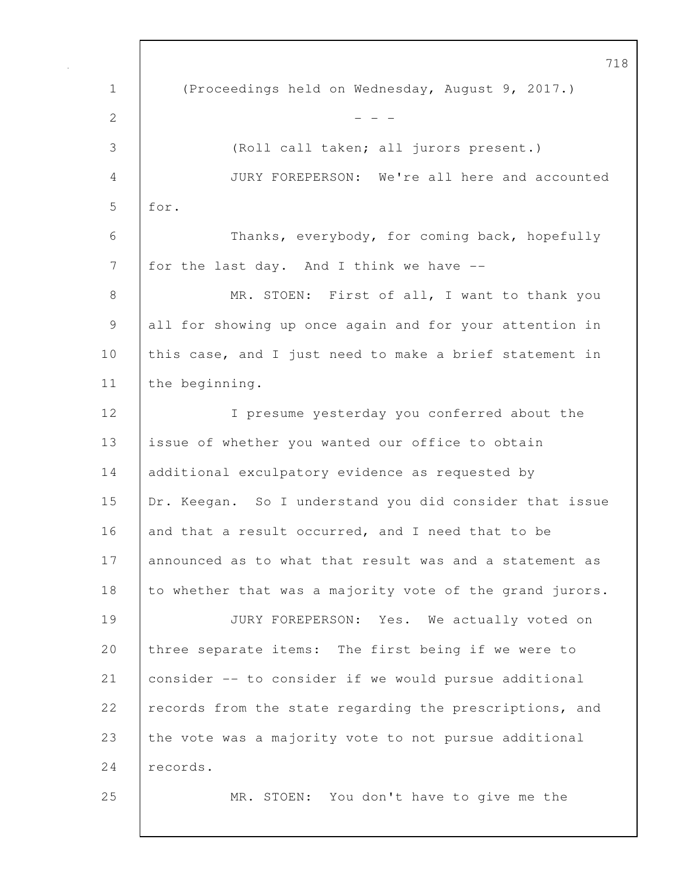1 (Proceedings held on Wednesday, August 9, 2017.) 2  $- - -$ 3 (Roll call taken; all jurors present.) 4 JURY FOREPERSON: We're all here and accounted 5 for. 6 Thanks, everybody, for coming back, hopefully 7 for the last day. And I think we have --8 | MR. STOEN: First of all, I want to thank you 9 all for showing up once again and for your attention in 10 this case, and I just need to make a brief statement in 11 the beginning. 12 I presume yesterday you conferred about the 13 issue of whether you wanted our office to obtain 14 additional exculpatory evidence as requested by 15 Dr. Keegan. So I understand you did consider that issue 16 and that a result occurred, and I need that to be 17 announced as to what that result was and a statement as 18 to whether that was a majority vote of the grand jurors. 19 JURY FOREPERSON: Yes. We actually voted on 20 three separate items: The first being if we were to 21 consider -- to consider if we would pursue additional 22 records from the state regarding the prescriptions, and 23 the vote was a majority vote to not pursue additional 24 records. 25 MR. STOEN: You don't have to give me the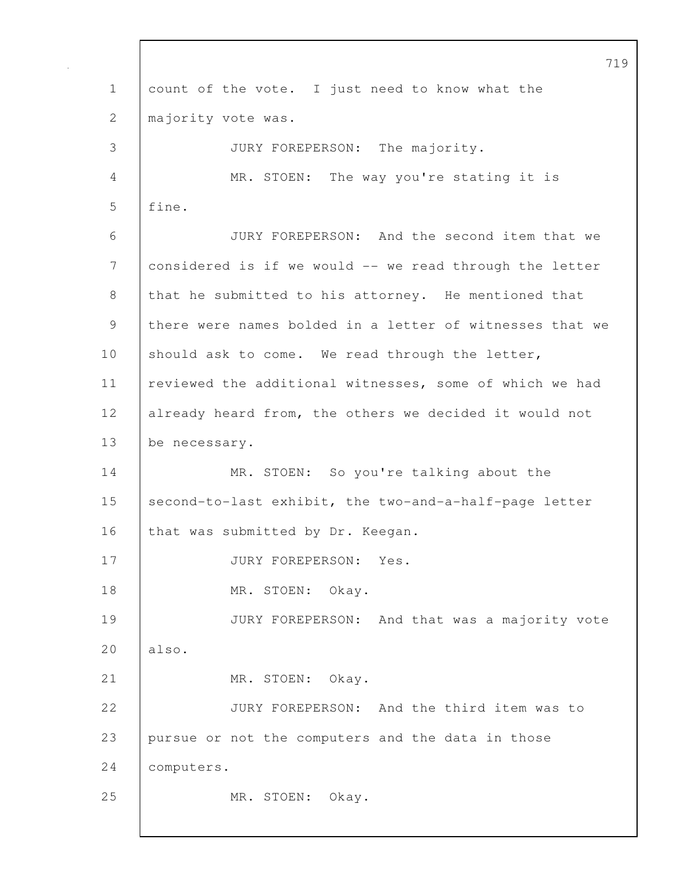719 1 count of the vote. I just need to know what the 2 | majority vote was. 3 JURY FOREPERSON: The majority. 4 MR. STOEN: The way you're stating it is 5 | fine. 6 JURY FOREPERSON: And the second item that we 7 considered is if we would -- we read through the letter 8 that he submitted to his attorney. He mentioned that 9 there were names bolded in a letter of witnesses that we 10 should ask to come. We read through the letter, 11 reviewed the additional witnesses, some of which we had 12 already heard from, the others we decided it would not 13 be necessary. 14 MR. STOEN: So you're talking about the 15 second-to-last exhibit, the two-and-a-half-page letter 16 that was submitted by Dr. Keegan. 17 | JURY FOREPERSON: Yes. 18 | MR. STOEN: Okay. 19 JURY FOREPERSON: And that was a majority vote 20 also. 21 | MR. STOEN: Okay. 22 JURY FOREPERSON: And the third item was to 23 pursue or not the computers and the data in those 24 computers. 25 | MR. STOEN: Okay.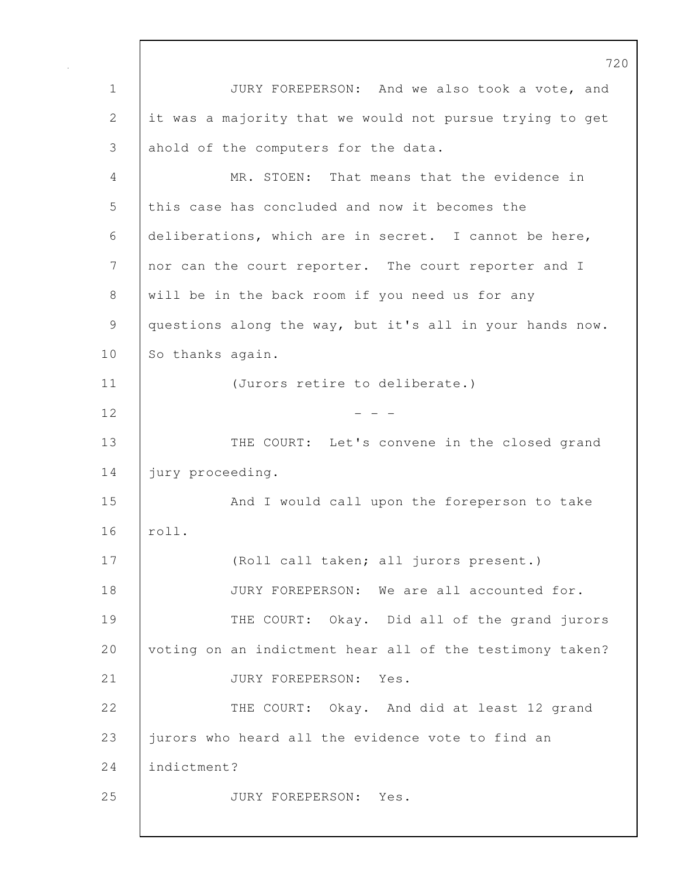720 1 JURY FOREPERSON: And we also took a vote, and 2 it was a majority that we would not pursue trying to get 3 ahold of the computers for the data. 4 MR. STOEN: That means that the evidence in 5 this case has concluded and now it becomes the 6 deliberations, which are in secret. I cannot be here, 7 | nor can the court reporter. The court reporter and I 8 will be in the back room if you need us for any 9 questions along the way, but it's all in your hands now. 10 So thanks again. 11 (Jurors retire to deliberate.)  $12$  - - -13 THE COURT: Let's convene in the closed grand 14 | jury proceeding. 15 | And I would call upon the foreperson to take 16 roll. 17 (Roll call taken; all jurors present.) 18 **JURY FOREPERSON:** We are all accounted for. 19 THE COURT: Okay. Did all of the grand jurors 20 voting on an indictment hear all of the testimony taken? 21 | JURY FOREPERSON: Yes. 22 THE COURT: Okay. And did at least 12 grand 23 iurors who heard all the evidence vote to find an 24 indictment? 25 JURY FOREPERSON: Yes.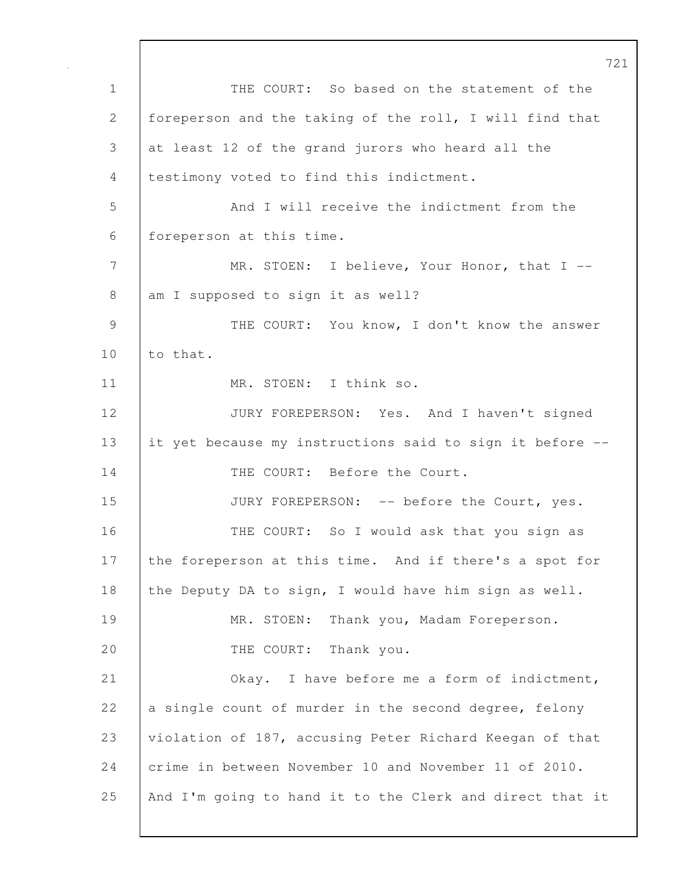721 1 THE COURT: So based on the statement of the 2 foreperson and the taking of the roll, I will find that 3 at least 12 of the grand jurors who heard all the 4 testimony voted to find this indictment. 5 And I will receive the indictment from the 6 foreperson at this time. 7 | MR. STOEN: I believe, Your Honor, that I --8 am I supposed to sign it as well? 9 | THE COURT: You know, I don't know the answer 10 | to that. 11 | MR. STOEN: I think so. 12 JURY FOREPERSON: Yes. And I haven't signed 13 it yet because my instructions said to sign it before -- 14 THE COURT: Before the Court. 15 JURY FOREPERSON: -- before the Court, yes. 16 THE COURT: So I would ask that you sign as 17 the foreperson at this time. And if there's a spot for 18 the Deputy DA to sign, I would have him sign as well. 19 | MR. STOEN: Thank you, Madam Foreperson. 20 THE COURT: Thank you. 21 Okay. I have before me a form of indictment, 22  $\vert$  a single count of murder in the second degree, felony 23 violation of 187, accusing Peter Richard Keegan of that 24 crime in between November 10 and November 11 of 2010. 25 And I'm going to hand it to the Clerk and direct that it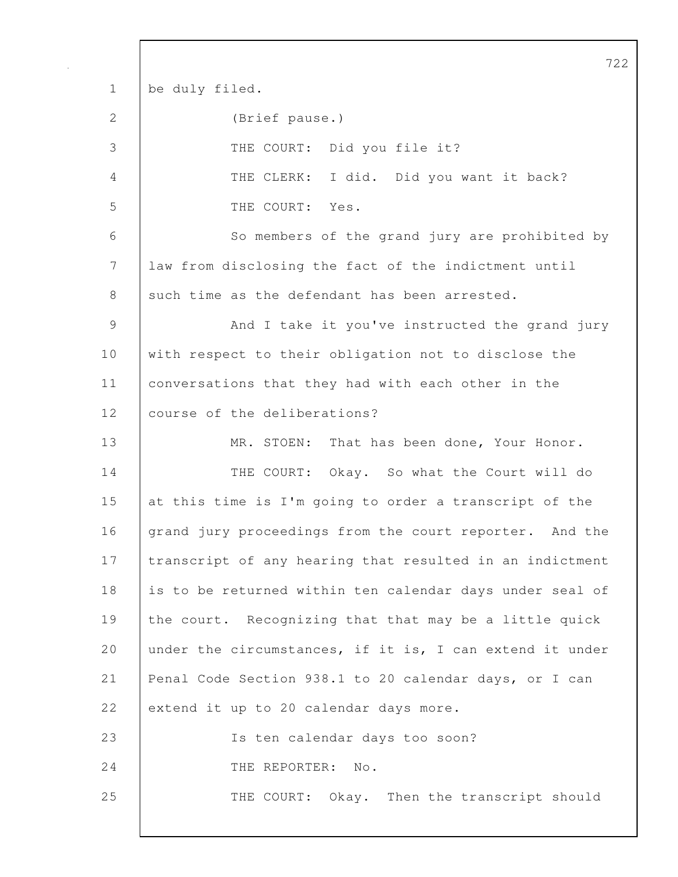722 1 be duly filed. 2 (Brief pause.) 3 THE COURT: Did you file it? 4 THE CLERK: I did. Did you want it back? 5 THE COURT: Yes. 6 So members of the grand jury are prohibited by 7 law from disclosing the fact of the indictment until 8 such time as the defendant has been arrested. 9 And I take it you've instructed the grand jury 10 with respect to their obligation not to disclose the 11 | conversations that they had with each other in the 12 course of the deliberations? 13 MR. STOEN: That has been done, Your Honor. 14 THE COURT: Okay. So what the Court will do 15 at this time is I'm going to order a transcript of the 16 grand jury proceedings from the court reporter. And the 17 transcript of any hearing that resulted in an indictment 18 is to be returned within ten calendar days under seal of 19 the court. Recognizing that that may be a little quick 20 | under the circumstances, if it is, I can extend it under 21 Penal Code Section 938.1 to 20 calendar days, or I can 22 extend it up to 20 calendar days more. 23 Is ten calendar days too soon? 24 | THE REPORTER: No. 25 THE COURT: Okay. Then the transcript should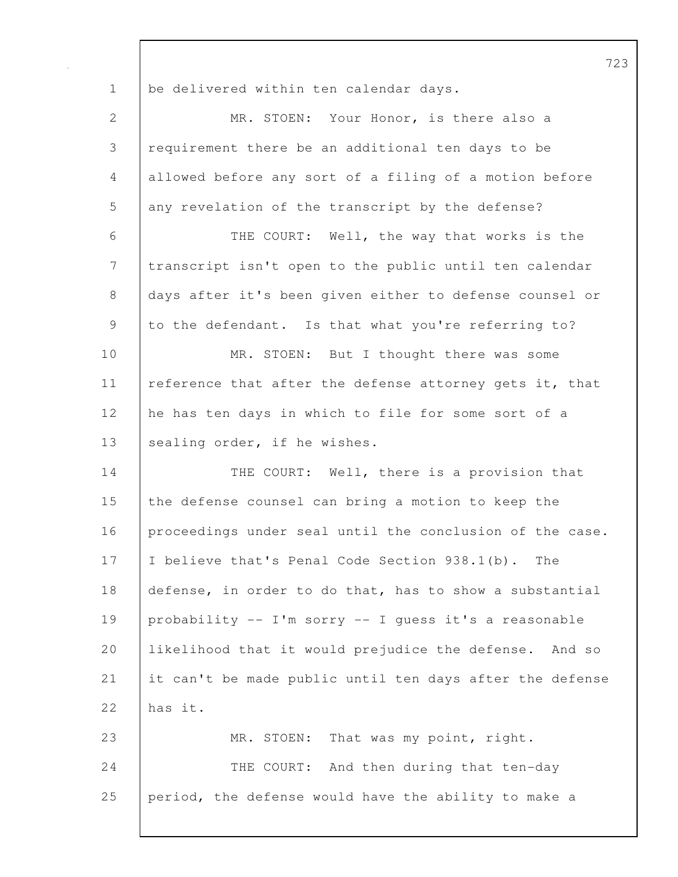1 be delivered within ten calendar days. 2 MR. STOEN: Your Honor, is there also a 3 requirement there be an additional ten days to be 4 allowed before any sort of a filing of a motion before 5 any revelation of the transcript by the defense? 6 THE COURT: Well, the way that works is the 7 transcript isn't open to the public until ten calendar 8 days after it's been given either to defense counsel or 9 to the defendant. Is that what you're referring to? 10 MR. STOEN: But I thought there was some 11 | reference that after the defense attorney gets it, that 12 he has ten days in which to file for some sort of a 13 | sealing order, if he wishes. 14 THE COURT: Well, there is a provision that 15 the defense counsel can bring a motion to keep the 16 proceedings under seal until the conclusion of the case. 17 I believe that's Penal Code Section 938.1(b). The 18 defense, in order to do that, has to show a substantial 19 probability -- I'm sorry -- I guess it's a reasonable 20 likelihood that it would prejudice the defense. And so 21 it can't be made public until ten days after the defense 22  $has it.$ 23 MR. STOEN: That was my point, right. 24 THE COURT: And then during that ten-day 25 period, the defense would have the ability to make a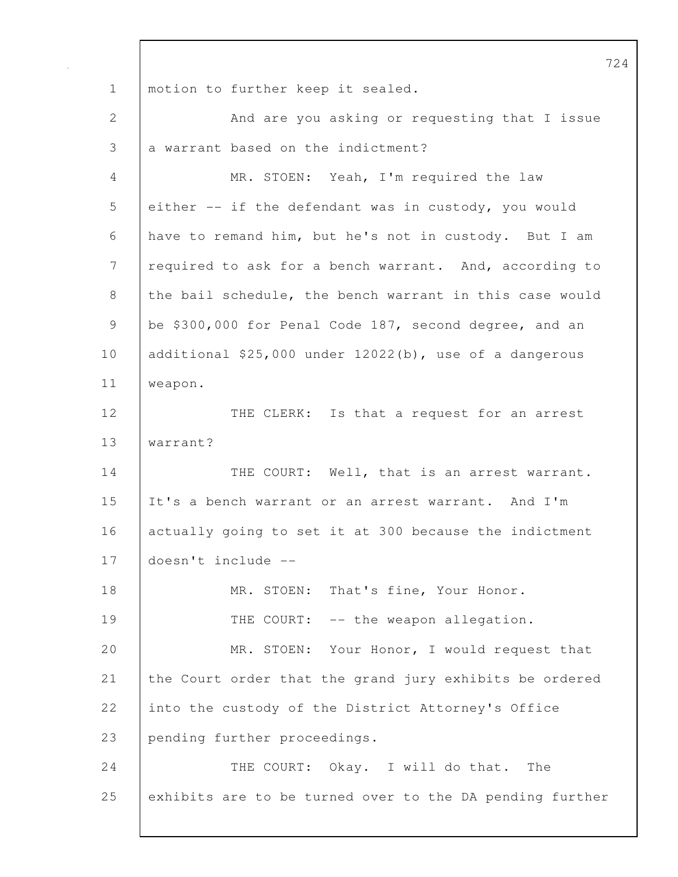724 1 | motion to further keep it sealed. 2 And are you asking or requesting that I issue 3 a warrant based on the indictment? 4 MR. STOEN: Yeah, I'm required the law 5 either -- if the defendant was in custody, you would 6 have to remand him, but he's not in custody. But I am 7 | required to ask for a bench warrant. And, according to 8 the bail schedule, the bench warrant in this case would 9 be \$300,000 for Penal Code 187, second degree, and an 10 additional \$25,000 under 12022(b), use of a dangerous 11 weapon. 12 THE CLERK: Is that a request for an arrest 13 warrant? 14 THE COURT: Well, that is an arrest warrant. 15 It's a bench warrant or an arrest warrant. And I'm 16 actually going to set it at 300 because the indictment 17 doesn't include -- 18 | MR. STOEN: That's fine, Your Honor. 19 THE COURT: -- the weapon allegation. 20 MR. STOEN: Your Honor, I would request that 21 the Court order that the grand jury exhibits be ordered 22 into the custody of the District Attorney's Office 23 pending further proceedings. 24 THE COURT: Okay. I will do that. The 25 exhibits are to be turned over to the DA pending further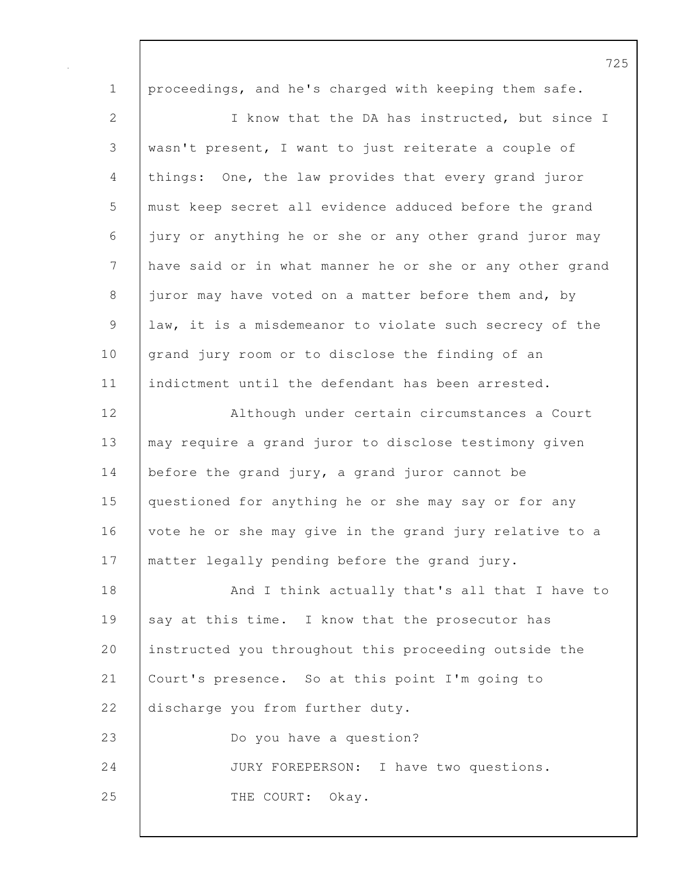| $\mathbf 1$    | proceedings, and he's charged with keeping them safe.    |
|----------------|----------------------------------------------------------|
| 2              | I know that the DA has instructed, but since I           |
| $\mathfrak{Z}$ | wasn't present, I want to just reiterate a couple of     |
| $\overline{4}$ | things: One, the law provides that every grand juror     |
| 5              | must keep secret all evidence adduced before the grand   |
| 6              | jury or anything he or she or any other grand juror may  |
| $\overline{7}$ | have said or in what manner he or she or any other grand |
| $8\,$          | juror may have voted on a matter before them and, by     |
| 9              | law, it is a misdemeanor to violate such secrecy of the  |
| 10             | grand jury room or to disclose the finding of an         |
| 11             | indictment until the defendant has been arrested.        |
| 12             | Although under certain circumstances a Court             |
| 13             | may require a grand juror to disclose testimony given    |
| 14             | before the grand jury, a grand juror cannot be           |
| 15             | questioned for anything he or she may say or for any     |
| 16             | vote he or she may give in the grand jury relative to a  |
| 17             | matter legally pending before the grand jury.            |
| 18             | And I think actually that's all that I have to           |
| 19             | say at this time. I know that the prosecutor has         |
| 20             | instructed you throughout this proceeding outside the    |
| 21             | Court's presence. So at this point I'm going to          |
| 22             | discharge you from further duty.                         |
| 23             | Do you have a question?                                  |
| 24             | JURY FOREPERSON: I have two questions.                   |
| 25             | THE COURT:<br>Okay.                                      |
|                |                                                          |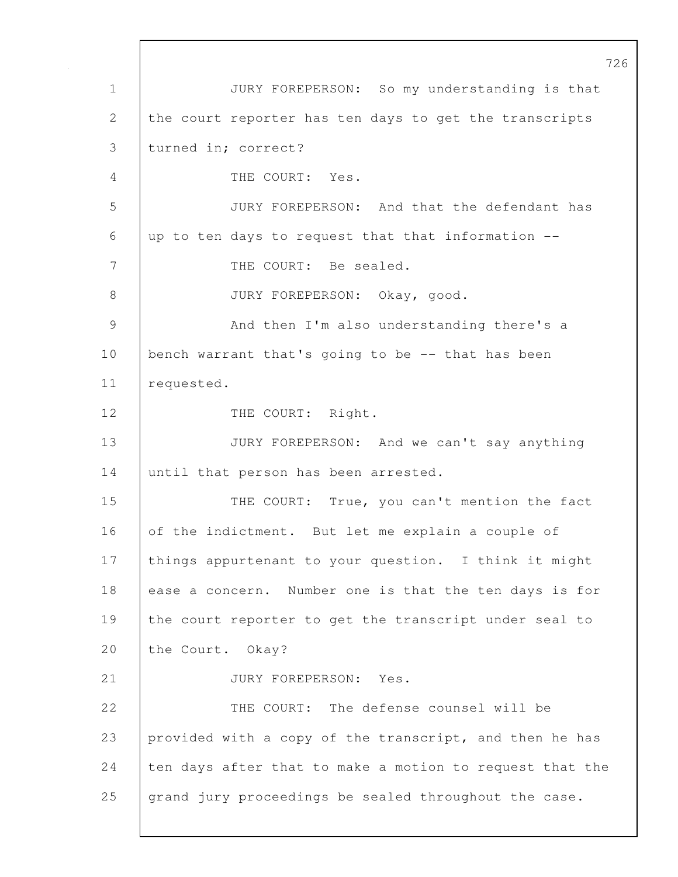726 1 JURY FOREPERSON: So my understanding is that 2 the court reporter has ten days to get the transcripts 3 turned in; correct? 4 THE COURT: Yes. 5 JURY FOREPERSON: And that the defendant has 6 up to ten days to request that that information -- 7 | THE COURT: Be sealed. 8 JURY FOREPERSON: Okay, good. 9 And then I'm also understanding there's a 10 | bench warrant that's going to be -- that has been 11 requested. 12 | THE COURT: Right. 13 JURY FOREPERSON: And we can't say anything 14 until that person has been arrested. 15 THE COURT: True, you can't mention the fact 16 of the indictment. But let me explain a couple of 17 | things appurtenant to your question. I think it might 18 ease a concern. Number one is that the ten days is for 19 the court reporter to get the transcript under seal to 20 the Court. Okay? 21 | JURY FOREPERSON: Yes. 22 THE COURT: The defense counsel will be 23 provided with a copy of the transcript, and then he has 24  $\vert$  ten days after that to make a motion to request that the 25 grand jury proceedings be sealed throughout the case.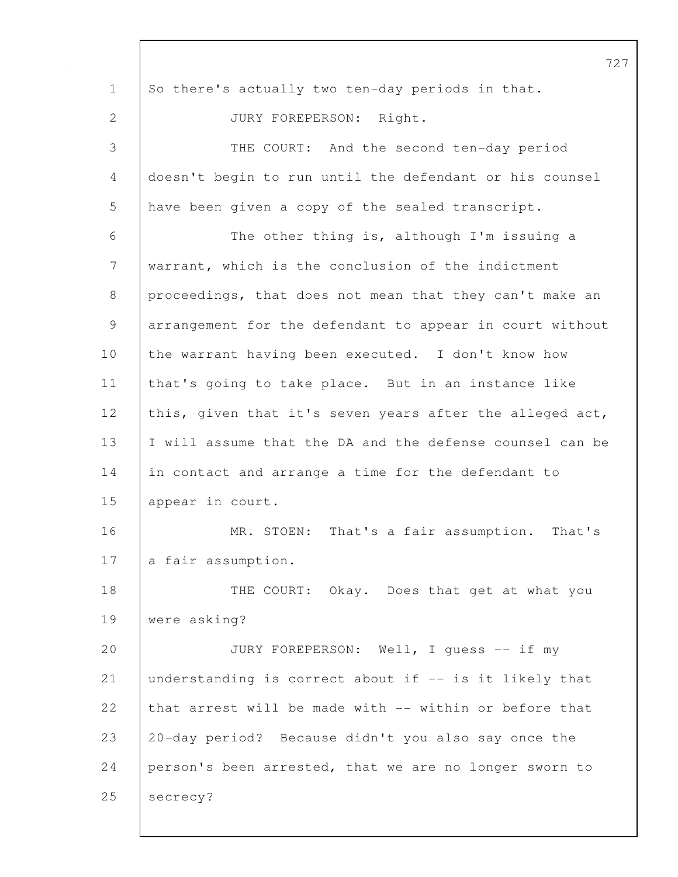|              | 72                                                       |
|--------------|----------------------------------------------------------|
| $\mathbf 1$  | So there's actually two ten-day periods in that.         |
| $\mathbf{2}$ | JURY FOREPERSON: Right.                                  |
| 3            | THE COURT: And the second ten-day period                 |
| 4            | doesn't begin to run until the defendant or his counsel  |
| 5            | have been given a copy of the sealed transcript.         |
| 6            | The other thing is, although I'm issuing a               |
| 7            | warrant, which is the conclusion of the indictment       |
| 8            | proceedings, that does not mean that they can't make an  |
| $\mathsf 9$  | arrangement for the defendant to appear in court without |
| 10           | the warrant having been executed. I don't know how       |
| 11           | that's going to take place. But in an instance like      |
| 12           | this, given that it's seven years after the alleged act, |
| 13           | I will assume that the DA and the defense counsel can be |
| 14           | in contact and arrange a time for the defendant to       |
| 15           | appear in court.                                         |
| 16           | MR. STOEN: That's a fair assumption. That's              |
| 17           | a fair assumption.                                       |
| 18           | THE COURT: Okay. Does that get at what you               |
| 19           | were asking?                                             |
| 20           | JURY FOREPERSON: Well, I quess -- if my                  |
| 21           | understanding is correct about if -- is it likely that   |
| 22           | that arrest will be made with -- within or before that   |
| 23           | 20-day period? Because didn't you also say once the      |
| 24           | person's been arrested, that we are no longer sworn to   |
| 25           | secrecy?                                                 |
|              |                                                          |

 $\mathbf I$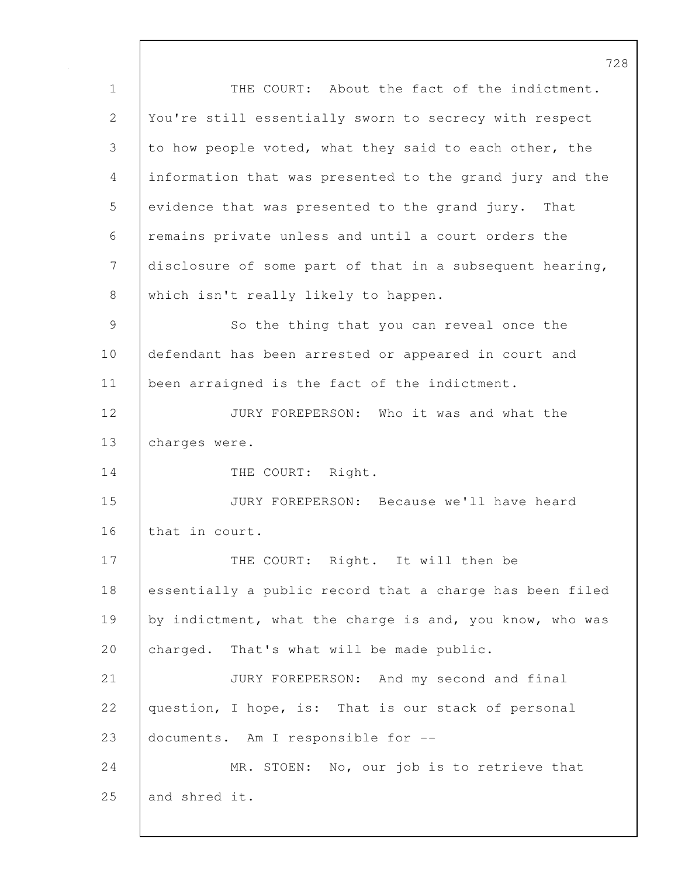728 1 THE COURT: About the fact of the indictment. 2 You're still essentially sworn to secrecy with respect 3 to how people voted, what they said to each other, the 4 information that was presented to the grand jury and the 5 evidence that was presented to the grand jury. That 6 remains private unless and until a court orders the 7 disclosure of some part of that in a subsequent hearing, 8 which isn't really likely to happen. 9 So the thing that you can reveal once the 10 defendant has been arrested or appeared in court and 11 | been arraigned is the fact of the indictment. 12 **JURY FOREPERSON:** Who it was and what the 13 charges were. 14 | THE COURT: Right. 15 JURY FOREPERSON: Because we'll have heard 16 that in court. 17 | THE COURT: Right. It will then be 18 essentially a public record that a charge has been filed 19 by indictment, what the charge is and, you know, who was 20 charged. That's what will be made public. 21 JURY FOREPERSON: And my second and final 22 question, I hope, is: That is our stack of personal 23 documents. Am I responsible for -- 24 MR. STOEN: No, our job is to retrieve that 25 and shred it.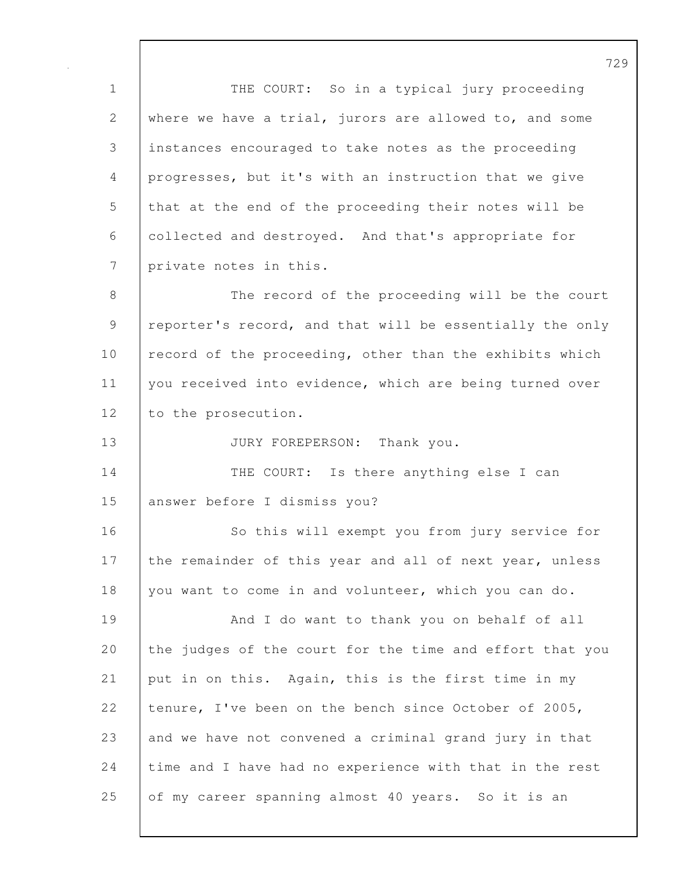1 | THE COURT: So in a typical jury proceeding 2 where we have a trial, jurors are allowed to, and some 3 instances encouraged to take notes as the proceeding 4 progresses, but it's with an instruction that we give 5 that at the end of the proceeding their notes will be 6 collected and destroyed. And that's appropriate for 7 private notes in this.

8 The record of the proceeding will be the court 9 | reporter's record, and that will be essentially the only 10 record of the proceeding, other than the exhibits which 11 you received into evidence, which are being turned over 12 to the prosecution.

13 JURY FOREPERSON: Thank you.

14 THE COURT: Is there anything else I can 15 answer before I dismiss you?

16 So this will exempt you from jury service for 17 the remainder of this year and all of next year, unless 18 you want to come in and volunteer, which you can do.

19 | And I do want to thank you on behalf of all 20 the judges of the court for the time and effort that you 21 put in on this. Again, this is the first time in my 22 tenure, I've been on the bench since October of 2005, 23 and we have not convened a criminal grand jury in that 24 time and I have had no experience with that in the rest 25 of my career spanning almost 40 years. So it is an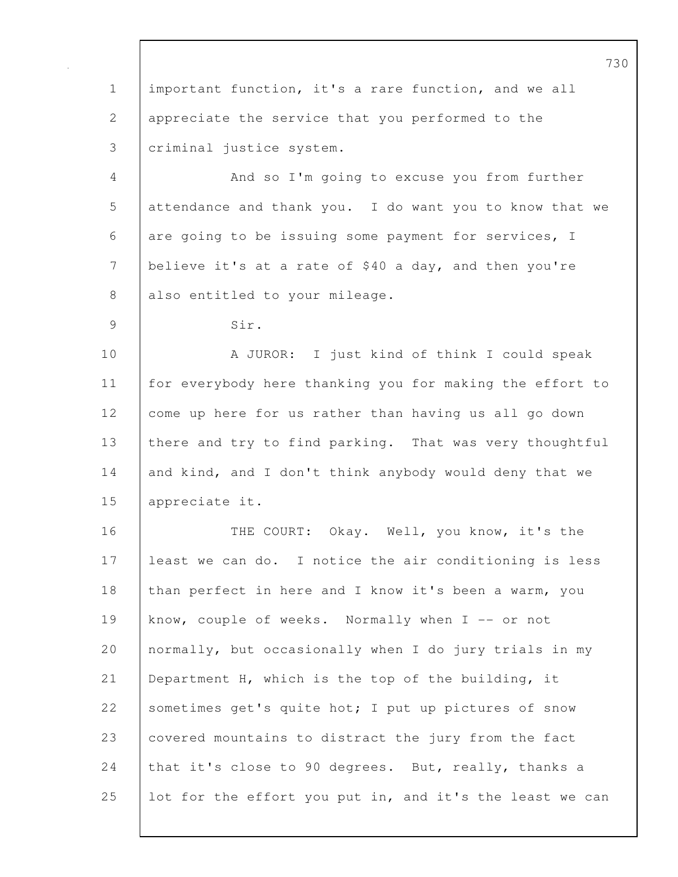730 1 important function, it's a rare function, and we all 2 appreciate the service that you performed to the 3 criminal justice system. 4 And so I'm going to excuse you from further 5 attendance and thank you. I do want you to know that we 6 are going to be issuing some payment for services, I 7 believe it's at a rate of \$40 a day, and then you're 8 | also entitled to your mileage. 9 Sir. 10 A JUROR: I just kind of think I could speak 11 for everybody here thanking you for making the effort to 12 come up here for us rather than having us all go down 13 there and try to find parking. That was very thoughtful 14 and kind, and I don't think anybody would deny that we 15 appreciate it. 16 THE COURT: Okay. Well, you know, it's the 17 least we can do. I notice the air conditioning is less 18 than perfect in here and I know it's been a warm, you 19 know, couple of weeks. Normally when I -- or not 20 normally, but occasionally when I do jury trials in my 21 Department H, which is the top of the building, it 22 Sometimes get's quite hot; I put up pictures of snow 23 covered mountains to distract the jury from the fact 24 that it's close to 90 degrees. But, really, thanks a 25 lot for the effort you put in, and it's the least we can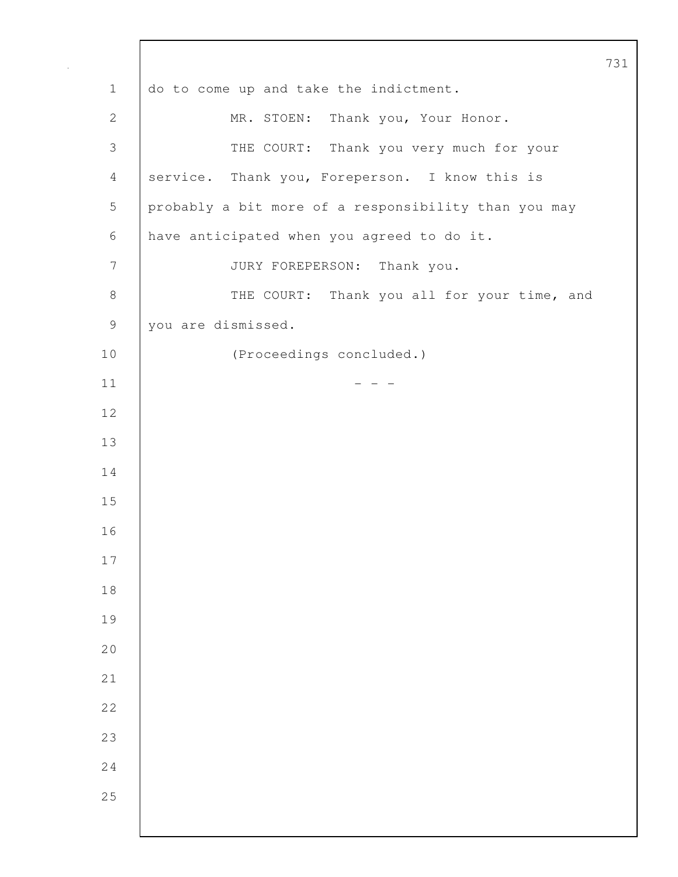1 do to come up and take the indictment. 2 MR. STOEN: Thank you, Your Honor. 3 THE COURT: Thank you very much for your 4 service. Thank you, Foreperson. I know this is 5 probably a bit more of a responsibility than you may 6 have anticipated when you agreed to do it. 7 JURY FOREPERSON: Thank you. 8 | THE COURT: Thank you all for your time, and 9 you are dismissed. 10 (Proceedings concluded.)  $-$